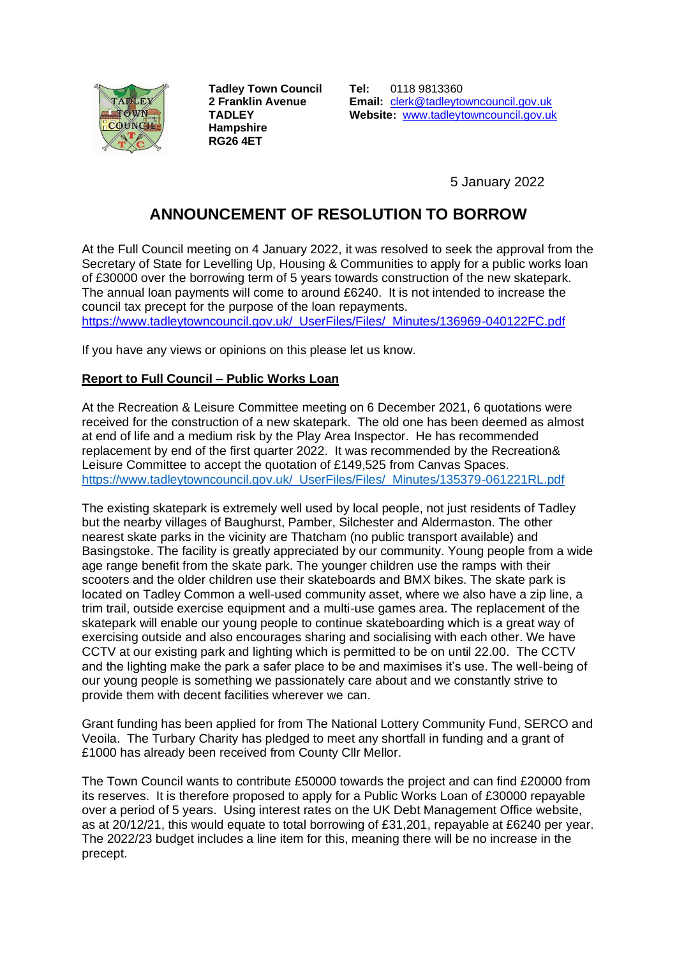

**Tadley Town Council 2 Franklin Avenue TADLEY Hampshire RG26 4ET**

**Tel:** 0118 9813360 **Email:** [clerk@tadleytowncouncil.gov.uk](mailto:clerk@tadleytowncouncil.gov.uk) **Website:** [www.tadleytowncouncil.g](http://www.tadleytowncouncil./)ov.uk

5 January 2022

## **ANNOUNCEMENT OF RESOLUTION TO BORROW**

At the Full Council meeting on 4 January 2022, it was resolved to seek the approval from the Secretary of State for Levelling Up, Housing & Communities to apply for a public works loan of £30000 over the borrowing term of 5 years towards construction of the new skatepark. The annual loan payments will come to around £6240. It is not intended to increase the council tax precept for the purpose of the loan repayments.

[https://www.tadleytowncouncil.gov.uk/\\_UserFiles/Files/\\_Minutes/136969-040122FC.pdf](https://www.tadleytowncouncil.gov.uk/_UserFiles/Files/_Minutes/136969-040122FC.pdf)

If you have any views or opinions on this please let us know.

## **Report to Full Council – Public Works Loan**

At the Recreation & Leisure Committee meeting on 6 December 2021, 6 quotations were received for the construction of a new skatepark. The old one has been deemed as almost at end of life and a medium risk by the Play Area Inspector. He has recommended replacement by end of the first quarter 2022. It was recommended by the Recreation& Leisure Committee to accept the quotation of £149,525 from Canvas Spaces. [https://www.tadleytowncouncil.gov.uk/\\_UserFiles/Files/\\_Minutes/135379-061221RL.pdf](https://www.tadleytowncouncil.gov.uk/_UserFiles/Files/_Minutes/135379-061221RL.pdf)

The existing skatepark is extremely well used by local people, not just residents of Tadley but the nearby villages of Baughurst, Pamber, Silchester and Aldermaston. The other nearest skate parks in the vicinity are Thatcham (no public transport available) and Basingstoke. The facility is greatly appreciated by our community. Young people from a wide age range benefit from the skate park. The younger children use the ramps with their scooters and the older children use their skateboards and BMX bikes. The skate park is located on Tadley Common a well-used community asset, where we also have a zip line, a trim trail, outside exercise equipment and a multi-use games area. The replacement of the skatepark will enable our young people to continue skateboarding which is a great way of exercising outside and also encourages sharing and socialising with each other. We have CCTV at our existing park and lighting which is permitted to be on until 22.00. The CCTV and the lighting make the park a safer place to be and maximises it's use. The well-being of our young people is something we passionately care about and we constantly strive to provide them with decent facilities wherever we can.

Grant funding has been applied for from The National Lottery Community Fund, SERCO and Veoila. The Turbary Charity has pledged to meet any shortfall in funding and a grant of £1000 has already been received from County Cllr Mellor.

The Town Council wants to contribute £50000 towards the project and can find £20000 from its reserves. It is therefore proposed to apply for a Public Works Loan of £30000 repayable over a period of 5 years. Using interest rates on the UK Debt Management Office website, as at 20/12/21, this would equate to total borrowing of £31,201, repayable at £6240 per year. The 2022/23 budget includes a line item for this, meaning there will be no increase in the precept.